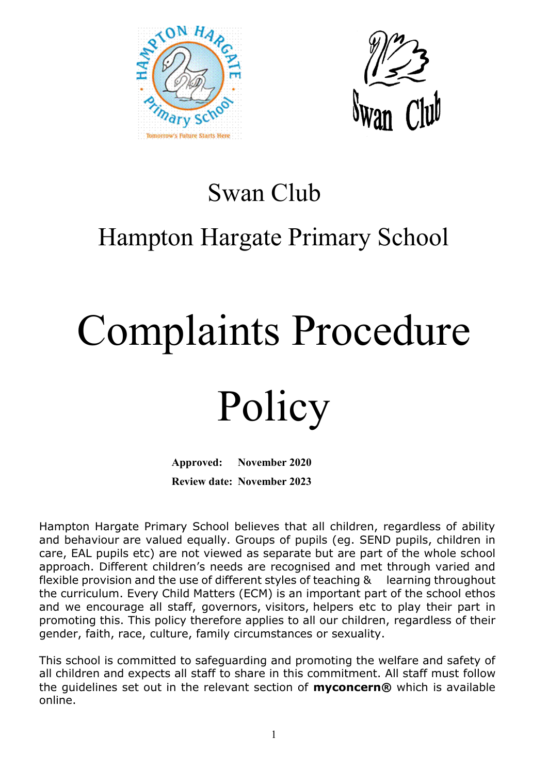



### Swan Club

## Hampton Hargate Primary School

# Complaints Procedure

## Policy

**Approved: November 2020 Review date: November 2023**

Hampton Hargate Primary School believes that all children, regardless of ability and behaviour are valued equally. Groups of pupils (eg. SEND pupils, children in care, EAL pupils etc) are not viewed as separate but are part of the whole school approach. Different children's needs are recognised and met through varied and flexible provision and the use of different styles of teaching & learning throughout the curriculum. Every Child Matters (ECM) is an important part of the school ethos and we encourage all staff, governors, visitors, helpers etc to play their part in promoting this. This policy therefore applies to all our children, regardless of their gender, faith, race, culture, family circumstances or sexuality.

This school is committed to safeguarding and promoting the welfare and safety of all children and expects all staff to share in this commitment. All staff must follow the guidelines set out in the relevant section of **myconcern®** which is available online.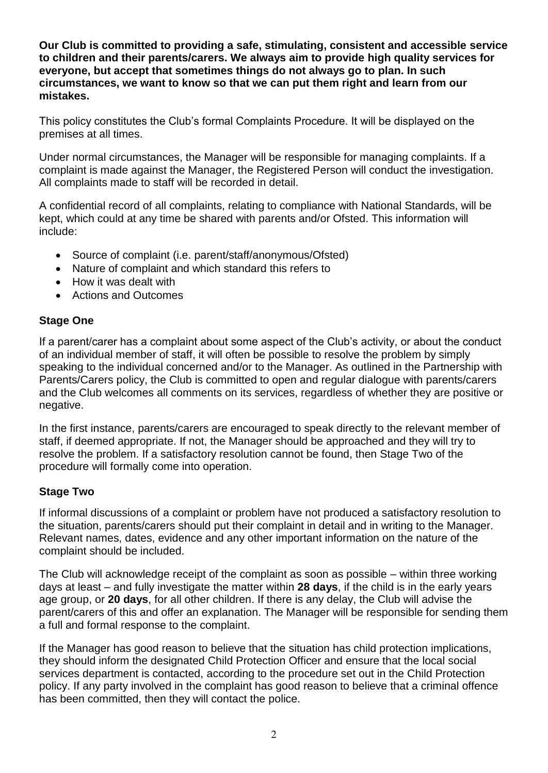**Our Club is committed to providing a safe, stimulating, consistent and accessible service to children and their parents/carers. We always aim to provide high quality services for everyone, but accept that sometimes things do not always go to plan. In such circumstances, we want to know so that we can put them right and learn from our mistakes.**

This policy constitutes the Club's formal Complaints Procedure. It will be displayed on the premises at all times.

Under normal circumstances, the Manager will be responsible for managing complaints. If a complaint is made against the Manager, the Registered Person will conduct the investigation. All complaints made to staff will be recorded in detail.

A confidential record of all complaints, relating to compliance with National Standards, will be kept, which could at any time be shared with parents and/or Ofsted. This information will include:

- Source of complaint (i.e. parent/staff/anonymous/Ofsted)
- Nature of complaint and which standard this refers to
- How it was dealt with
- Actions and Outcomes

### **Stage One**

If a parent/carer has a complaint about some aspect of the Club's activity, or about the conduct of an individual member of staff, it will often be possible to resolve the problem by simply speaking to the individual concerned and/or to the Manager. As outlined in the Partnership with Parents/Carers policy, the Club is committed to open and regular dialogue with parents/carers and the Club welcomes all comments on its services, regardless of whether they are positive or negative.

In the first instance, parents/carers are encouraged to speak directly to the relevant member of staff, if deemed appropriate. If not, the Manager should be approached and they will try to resolve the problem. If a satisfactory resolution cannot be found, then Stage Two of the procedure will formally come into operation.

### **Stage Two**

If informal discussions of a complaint or problem have not produced a satisfactory resolution to the situation, parents/carers should put their complaint in detail and in writing to the Manager. Relevant names, dates, evidence and any other important information on the nature of the complaint should be included.

The Club will acknowledge receipt of the complaint as soon as possible – within three working days at least – and fully investigate the matter within **28 days**, if the child is in the early years age group, or **20 days**, for all other children. If there is any delay, the Club will advise the parent/carers of this and offer an explanation. The Manager will be responsible for sending them a full and formal response to the complaint.

If the Manager has good reason to believe that the situation has child protection implications, they should inform the designated Child Protection Officer and ensure that the local social services department is contacted, according to the procedure set out in the Child Protection policy. If any party involved in the complaint has good reason to believe that a criminal offence has been committed, then they will contact the police.